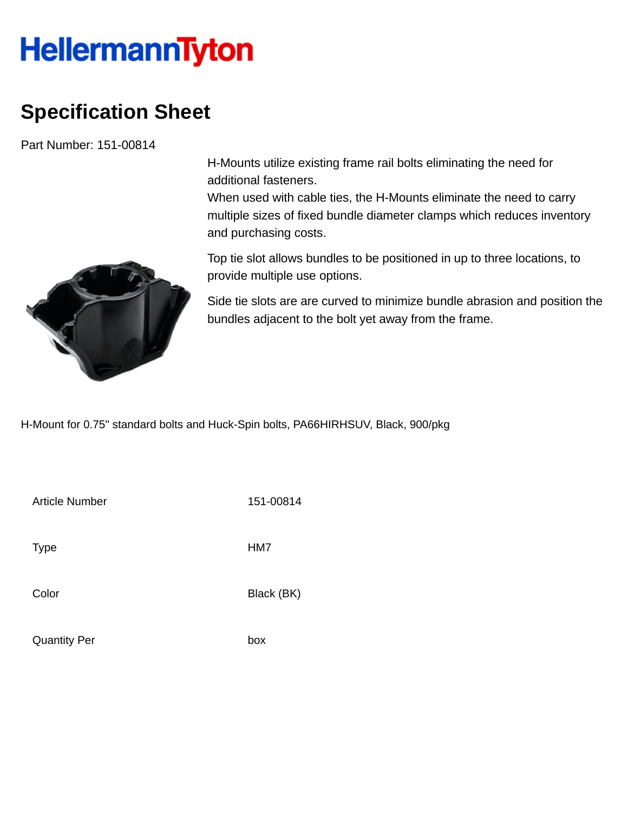## **HellermannTyton**

## **Specification Sheet**

Part Number: 151-00814

H-Mounts utilize existing frame rail bolts eliminating the need for additional fasteners.

When used with cable ties, the H-Mounts eliminate the need to carry multiple sizes of fixed bundle diameter clamps which reduces inventory and purchasing costs.



Top tie slot allows bundles to be positioned in up to three locations, to provide multiple use options.

Side tie slots are are curved to minimize bundle abrasion and position the bundles adjacent to the bolt yet away from the frame.

H-Mount for 0.75" standard bolts and Huck-Spin bolts, PA66HIRHSUV, Black, 900/pkg

Article Number 151-00814 Type HM7 Color Black (BK)

Quantity Per box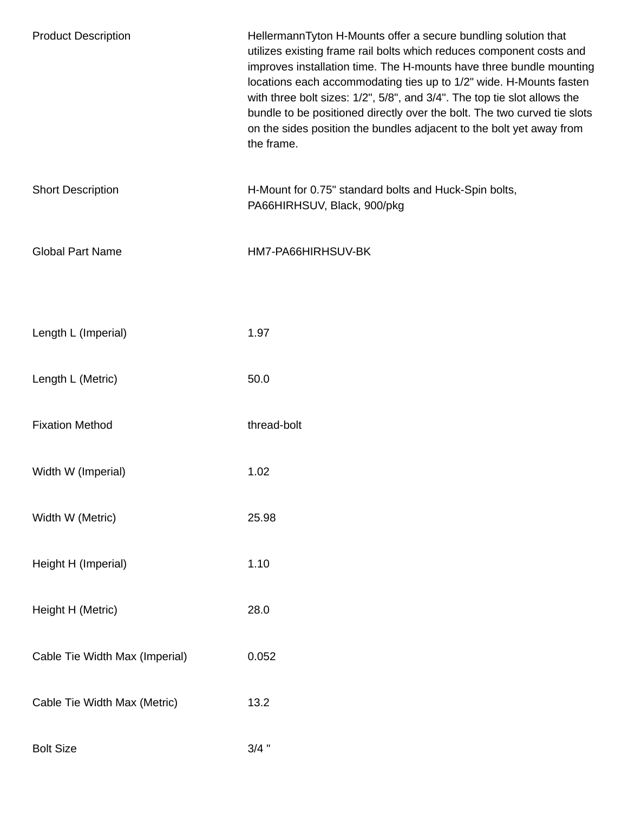| <b>Product Description</b>     | HellermannTyton H-Mounts offer a secure bundling solution that<br>utilizes existing frame rail bolts which reduces component costs and<br>improves installation time. The H-mounts have three bundle mounting<br>locations each accommodating ties up to 1/2" wide. H-Mounts fasten<br>with three bolt sizes: 1/2", 5/8", and 3/4". The top tie slot allows the<br>bundle to be positioned directly over the bolt. The two curved tie slots<br>on the sides position the bundles adjacent to the bolt yet away from<br>the frame. |
|--------------------------------|-----------------------------------------------------------------------------------------------------------------------------------------------------------------------------------------------------------------------------------------------------------------------------------------------------------------------------------------------------------------------------------------------------------------------------------------------------------------------------------------------------------------------------------|
| <b>Short Description</b>       | H-Mount for 0.75" standard bolts and Huck-Spin bolts,<br>PA66HIRHSUV, Black, 900/pkg                                                                                                                                                                                                                                                                                                                                                                                                                                              |
| <b>Global Part Name</b>        | HM7-PA66HIRHSUV-BK                                                                                                                                                                                                                                                                                                                                                                                                                                                                                                                |
|                                |                                                                                                                                                                                                                                                                                                                                                                                                                                                                                                                                   |
| Length L (Imperial)            | 1.97                                                                                                                                                                                                                                                                                                                                                                                                                                                                                                                              |
| Length L (Metric)              | 50.0                                                                                                                                                                                                                                                                                                                                                                                                                                                                                                                              |
| <b>Fixation Method</b>         | thread-bolt                                                                                                                                                                                                                                                                                                                                                                                                                                                                                                                       |
| Width W (Imperial)             | 1.02                                                                                                                                                                                                                                                                                                                                                                                                                                                                                                                              |
| Width W (Metric)               | 25.98                                                                                                                                                                                                                                                                                                                                                                                                                                                                                                                             |
| Height H (Imperial)            | 1.10                                                                                                                                                                                                                                                                                                                                                                                                                                                                                                                              |
| Height H (Metric)              | 28.0                                                                                                                                                                                                                                                                                                                                                                                                                                                                                                                              |
| Cable Tie Width Max (Imperial) | 0.052                                                                                                                                                                                                                                                                                                                                                                                                                                                                                                                             |
| Cable Tie Width Max (Metric)   | 13.2                                                                                                                                                                                                                                                                                                                                                                                                                                                                                                                              |
| <b>Bolt Size</b>               | $3/4$ "                                                                                                                                                                                                                                                                                                                                                                                                                                                                                                                           |